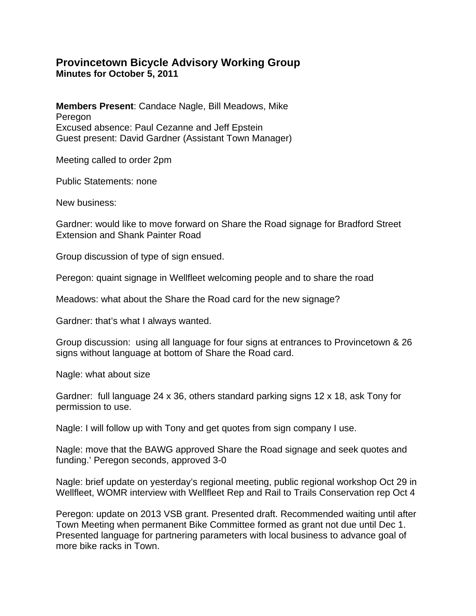## **Provincetown Bicycle Advisory Working Group Minutes for October 5, 2011**

**Members Present**: Candace Nagle, Bill Meadows, Mike **Peregon** Excused absence: Paul Cezanne and Jeff Epstein Guest present: David Gardner (Assistant Town Manager)

Meeting called to order 2pm

Public Statements: none

New business:

Gardner: would like to move forward on Share the Road signage for Bradford Street Extension and Shank Painter Road

Group discussion of type of sign ensued.

Peregon: quaint signage in Wellfleet welcoming people and to share the road

Meadows: what about the Share the Road card for the new signage?

Gardner: that's what I always wanted.

Group discussion: using all language for four signs at entrances to Provincetown & 26 signs without language at bottom of Share the Road card.

Nagle: what about size

Gardner: full language 24 x 36, others standard parking signs 12 x 18, ask Tony for permission to use.

Nagle: I will follow up with Tony and get quotes from sign company I use.

Nagle: move that the BAWG approved Share the Road signage and seek quotes and funding.' Peregon seconds, approved 3-0

Nagle: brief update on yesterday's regional meeting, public regional workshop Oct 29 in Wellfleet, WOMR interview with Wellfleet Rep and Rail to Trails Conservation rep Oct 4

Peregon: update on 2013 VSB grant. Presented draft. Recommended waiting until after Town Meeting when permanent Bike Committee formed as grant not due until Dec 1. Presented language for partnering parameters with local business to advance goal of more bike racks in Town.